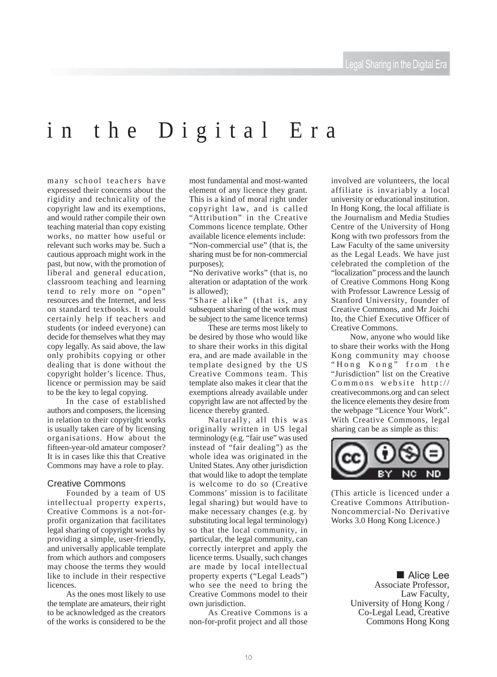## in the Digital Era

many school teachers have expressed their concerns about the rigidity and technicality of the copyright law and its exemptions, and would rather compile their own teaching material than copy existing works, no matter how useful or relevant such works may be. Such a cautious approach might work in the past, but now, with the promotion of liberal and general education, classroom teaching and learning tend to rely more on "open" resources and the Internet, and less on standard textbooks. It would certainly help if teachers and students (or indeed everyone) can decide for themselves what they may copy legally. As said above, the law only prohibits copying or other dealing that is done without the copyright holder's licence. Thus, licence or permission may be said to be the key to legal copying.

In the case of established authors and composers, the licensing in relation to their copyright works is usually taken care of by licensing organisations. How about the fifteen-year-old amateur composer? It is in cases like this that Creative Commons may have a role to play.

#### Creative Commons

Founded by a team of US intellectual property experts, Creative Commons is a not-forprofit organization that facilitates legal sharing of copyright works by providing a simple, user-friendly, and universally applicable template from which authors and composers may choose the terms they would like to include in their respective licences.

As the ones most likely to use the template are amateurs, their right to be acknowledged as the creators of the works is considered to be the

most fundamental and most-wanted element of any licence they grant. This is a kind of moral right under copyright law, and is called "Attribution" in the Creative Commons licence template. Other available licence elements include: "Non-commercial use" (that is, the sharing must be for non-commercial purposes);

"No derivative works" (that is, no alteration or adaptation of the work is allowed);

"Share alike" (that is, any subsequent sharing of the work must be subject to the same licence terms)

These are terms most likely to be desired by those who would like to share their works in this digital era, and are made available in the template designed by the US Creative Commons team. This template also makes it clear that the exemptions already available under copyright law are not affected by the licence thereby granted.

Naturally, all this was originally written in US legal terminology (e.g. "fair use" was used instead of "fair dealing") as the whole idea was originated in the United States. Any other jurisdiction that would like to adopt the template is welcome to do so (Creative Commons' mission is to facilitate legal sharing) but would have to make necessary changes (e.g. by substituting local legal terminology) so that the local community, in particular, the legal community, can correctly interpret and apply the licence terms. Usually, such changes are made by local intellectual property experts ("Legal Leads") who see the need to bring the Creative Commons model to their own jurisdiction.

As Creative Commons is a non-for-profit project and all those involved are volunteers, the local affiliate is invariably a local university or educational institution. In Hong Kong, the local affiliate is the Journalism and Media Studies Centre of the University of Hong Kong with two professors from the Law Faculty of the same university as the Legal Leads. We have just celebrated the completion of the "localization" process and the launch of Creative Commons Hong Kong with Professor Lawrence Lessig of Stanford University, founder of Creative Commons, and Mr Joichi Ito, the Chief Executive Officer of Creative Commons.

Now, anyone who would like to share their works with the Hong Kong community may choose "Hong Kong" from the "Jurisdiction" list on the Creative Commons website http:// creativecommons.org and can select the licence elements they desire from the webpage "Licence Your Work". With Creative Commons, legal sharing can be as simple as this:



(This article is licenced under a Creative Commons Attribution-Noncommercial-No Derivative Works 3.0 Hong Kong Licence.)

**E** Alice Lee Associate Professor, Law Faculty, University of Hong Kong / Co-Legal Lead, Creative Commons Hong Kong